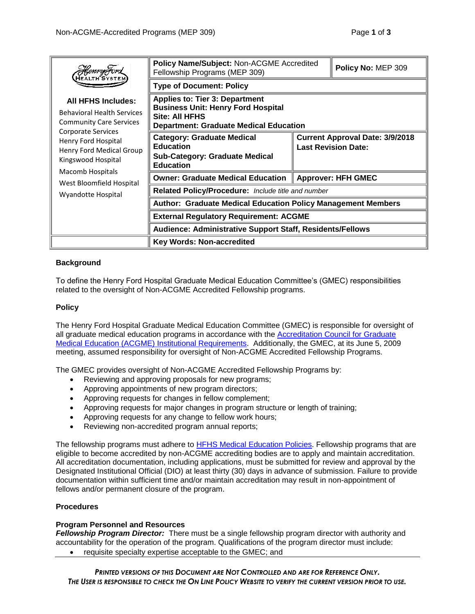| <b>Henry Ford</b><br>HEALTH SYSTEI                                                                                                          | <b>Policy Name/Subject: Non-ACGME Accredited</b><br>Fellowship Programs (MEP 309)                                                                     |                                                                      | Policy No: MEP 309 |
|---------------------------------------------------------------------------------------------------------------------------------------------|-------------------------------------------------------------------------------------------------------------------------------------------------------|----------------------------------------------------------------------|--------------------|
|                                                                                                                                             | <b>Type of Document: Policy</b>                                                                                                                       |                                                                      |                    |
| <b>All HFHS Includes:</b><br><b>Behavioral Health Services</b><br><b>Community Care Services</b>                                            | <b>Applies to: Tier 3: Department</b><br><b>Business Unit: Henry Ford Hospital</b><br>Site: All HFHS<br><b>Department: Graduate Medical Education</b> |                                                                      |                    |
| Corporate Services<br>Henry Ford Hospital<br>Henry Ford Medical Group<br>Kingswood Hospital<br>Macomb Hospitals<br>West Bloomfield Hospital | <b>Category: Graduate Medical</b><br><b>Education</b><br><b>Sub-Category: Graduate Medical</b><br><b>Education</b>                                    | <b>Current Approval Date: 3/9/2018</b><br><b>Last Revision Date:</b> |                    |
|                                                                                                                                             | <b>Owner: Graduate Medical Education</b>                                                                                                              | <b>Approver: HFH GMEC</b>                                            |                    |
| Wyandotte Hospital                                                                                                                          | Related Policy/Procedure: Include title and number                                                                                                    |                                                                      |                    |
|                                                                                                                                             | <b>Author: Graduate Medical Education Policy Management Members</b>                                                                                   |                                                                      |                    |
|                                                                                                                                             | <b>External Regulatory Requirement: ACGME</b><br>Audience: Administrative Support Staff, Residents/Fellows                                            |                                                                      |                    |
|                                                                                                                                             |                                                                                                                                                       |                                                                      |                    |
|                                                                                                                                             | <b>Key Words: Non-accredited</b>                                                                                                                      |                                                                      |                    |

# **Background**

To define the Henry Ford Hospital Graduate Medical Education Committee's (GMEC) responsibilities related to the oversight of Non-ACGME Accredited Fellowship programs.

# **Policy**

The Henry Ford Hospital Graduate Medical Education Committee (GMEC) is responsible for oversight of all graduate medical education programs in accordance with the [Accreditation Council for Graduate](http://www.acgme.org/Designated-Institutional-Officials/Institutional-Review-Committee/Institutional-Application-and-Requirements)  [Medical Education \(ACGME\) Institutional Requirements.](http://www.acgme.org/Designated-Institutional-Officials/Institutional-Review-Committee/Institutional-Application-and-Requirements) Additionally, the GMEC, at its June 5, 2009 meeting, assumed responsibility for oversight of Non-ACGME Accredited Fellowship Programs.

The GMEC provides oversight of Non-ACGME Accredited Fellowship Programs by:

- Reviewing and approving proposals for new programs;
- Approving appointments of new program directors;
- Approving requests for changes in fellow complement;
- Approving requests for major changes in program structure or length of training;
- Approving requests for any change to fellow work hours;
- Reviewing non-accredited program annual reports;

The fellowship programs must adhere to [HFHS Medical Education Policies.](http://www.henryford.com/mededpolicies) Fellowship programs that are eligible to become accredited by non-ACGME accrediting bodies are to apply and maintain accreditation. All accreditation documentation, including applications, must be submitted for review and approval by the Designated Institutional Official (DIO) at least thirty (30) days in advance of submission. Failure to provide documentation within sufficient time and/or maintain accreditation may result in non-appointment of fellows and/or permanent closure of the program.

## **Procedures**

# **Program Personnel and Resources**

*Fellowship Program Director:* There must be a single fellowship program director with authority and accountability for the operation of the program. Qualifications of the program director must include:

• requisite specialty expertise acceptable to the GMEC; and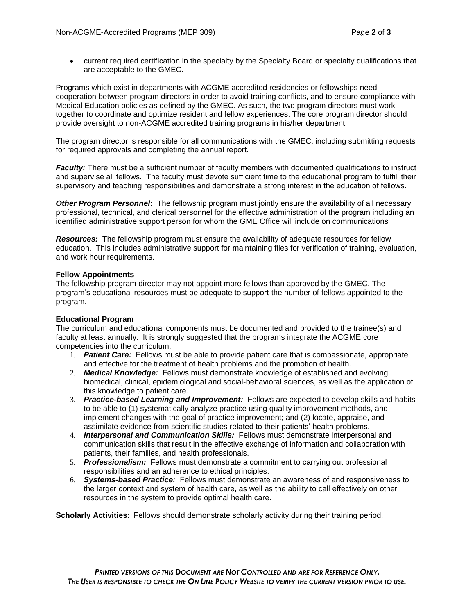current required certification in the specialty by the Specialty Board or specialty qualifications that are acceptable to the GMEC.

Programs which exist in departments with ACGME accredited residencies or fellowships need cooperation between program directors in order to avoid training conflicts, and to ensure compliance with Medical Education policies as defined by the GMEC. As such, the two program directors must work together to coordinate and optimize resident and fellow experiences. The core program director should provide oversight to non-ACGME accredited training programs in his/her department.

The program director is responsible for all communications with the GMEC, including submitting requests for required approvals and completing the annual report.

*Faculty:* There must be a sufficient number of faculty members with documented qualifications to instruct and supervise all fellows. The faculty must devote sufficient time to the educational program to fulfill their supervisory and teaching responsibilities and demonstrate a strong interest in the education of fellows.

*Other Program Personnel***:** The fellowship program must jointly ensure the availability of all necessary professional, technical, and clerical personnel for the effective administration of the program including an identified administrative support person for whom the GME Office will include on communications

*Resources:*The fellowship program must ensure the availability of adequate resources for fellow education. This includes administrative support for maintaining files for verification of training, evaluation, and work hour requirements.

## **Fellow Appointments**

The fellowship program director may not appoint more fellows than approved by the GMEC. The program's educational resources must be adequate to support the number of fellows appointed to the program.

## **Educational Program**

The curriculum and educational components must be documented and provided to the trainee(s) and faculty at least annually. It is strongly suggested that the programs integrate the ACGME core competencies into the curriculum:

- 1. *Patient Care:* Fellows must be able to provide patient care that is compassionate, appropriate, and effective for the treatment of health problems and the promotion of health.
- 2. *Medical Knowledge:* Fellows must demonstrate knowledge of established and evolving biomedical, clinical, epidemiological and social-behavioral sciences, as well as the application of this knowledge to patient care.
- 3. *Practice-based Learning and Improvement:* Fellows are expected to develop skills and habits to be able to (1) systematically analyze practice using quality improvement methods, and implement changes with the goal of practice improvement; and (2) locate, appraise, and assimilate evidence from scientific studies related to their patients' health problems.
- 4. *Interpersonal and Communication Skills:* Fellows must demonstrate interpersonal and communication skills that result in the effective exchange of information and collaboration with patients, their families, and health professionals.
- 5. *Professionalism:* Fellows must demonstrate a commitment to carrying out professional responsibilities and an adherence to ethical principles.
- 6. *Systems-based Practice:* Fellows must demonstrate an awareness of and responsiveness to the larger context and system of health care, as well as the ability to call effectively on other resources in the system to provide optimal health care.

**Scholarly Activities**: Fellows should demonstrate scholarly activity during their training period.